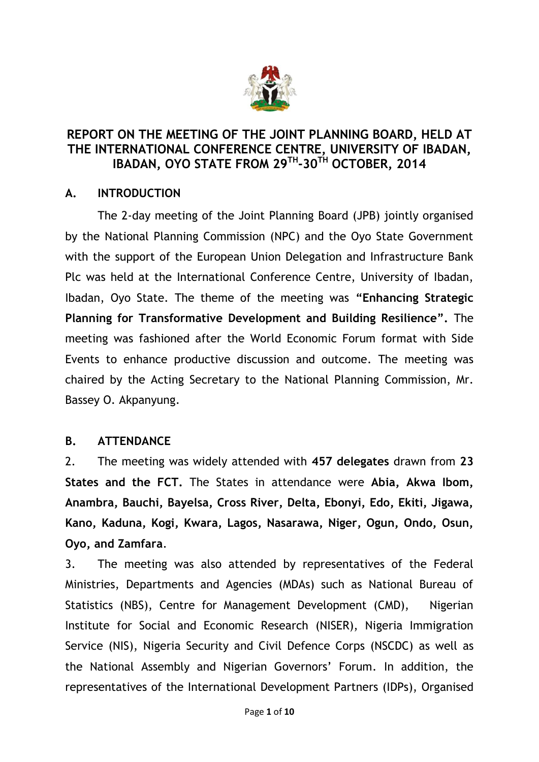

### **REPORT ON THE MEETING OF THE JOINT PLANNING BOARD, HELD AT THE INTERNATIONAL CONFERENCE CENTRE, UNIVERSITY OF IBADAN, IBADAN, OYO STATE FROM 29TH -30TH OCTOBER, 2014**

### **A. INTRODUCTION**

The 2-day meeting of the Joint Planning Board (JPB) jointly organised by the National Planning Commission (NPC) and the Oyo State Government with the support of the European Union Delegation and Infrastructure Bank Plc was held at the International Conference Centre, University of Ibadan, Ibadan, Oyo State. The theme of the meeting was **"Enhancing Strategic Planning for Transformative Development and Building Resilience".** The meeting was fashioned after the World Economic Forum format with Side Events to enhance productive discussion and outcome. The meeting was chaired by the Acting Secretary to the National Planning Commission, Mr. Bassey O. Akpanyung.

### **B. ATTENDANCE**

2. The meeting was widely attended with **457 delegates** drawn from **23 States and the FCT.** The States in attendance were **Abia, Akwa Ibom, Anambra, Bauchi, Bayelsa, Cross River, Delta, Ebonyi, Edo, Ekiti, Jigawa, Kano, Kaduna, Kogi, Kwara, Lagos, Nasarawa, Niger, Ogun, Ondo, Osun, Oyo, and Zamfara**.

3. The meeting was also attended by representatives of the Federal Ministries, Departments and Agencies (MDAs) such as National Bureau of Statistics (NBS), Centre for Management Development (CMD), Nigerian Institute for Social and Economic Research (NISER), Nigeria Immigration Service (NIS), Nigeria Security and Civil Defence Corps (NSCDC) as well as the National Assembly and Nigerian Governors' Forum. In addition, the representatives of the International Development Partners (IDPs), Organised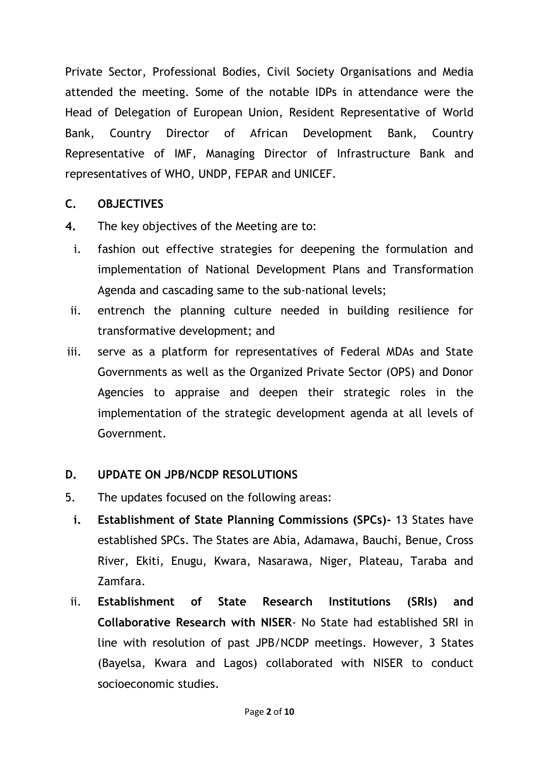Private Sector, Professional Bodies, Civil Society Organisations and Media attended the meeting. Some of the notable IDPs in attendance were the Head of Delegation of European Union, Resident Representative of World Bank, Country Director of African Development Bank, Country Representative of IMF, Managing Director of Infrastructure Bank and representatives of WHO, UNDP, FEPAR and UNICEF.

### **C. OBJECTIVES**

- **4.** The key objectives of the Meeting are to:
- i. fashion out effective strategies for deepening the formulation and implementation of National Development Plans and Transformation Agenda and cascading same to the sub-national levels;
- ii. entrench the planning culture needed in building resilience for transformative development; and
- iii. serve as a platform for representatives of Federal MDAs and State Governments as well as the Organized Private Sector (OPS) and Donor Agencies to appraise and deepen their strategic roles in the implementation of the strategic development agenda at all levels of Government.

### **D. UPDATE ON JPB/NCDP RESOLUTIONS**

- 5. The updates focused on the following areas:
	- **i. Establishment of State Planning Commissions (SPCs)-** 13 States have established SPCs. The States are Abia, Adamawa, Bauchi, Benue, Cross River, Ekiti, Enugu, Kwara, Nasarawa, Niger, Plateau, Taraba and Zamfara.
- ii. **Establishment of State Research Institutions (SRIs) and Collaborative Research with NISER**- No State had established SRI in line with resolution of past JPB/NCDP meetings. However, 3 States (Bayelsa, Kwara and Lagos) collaborated with NISER to conduct socioeconomic studies.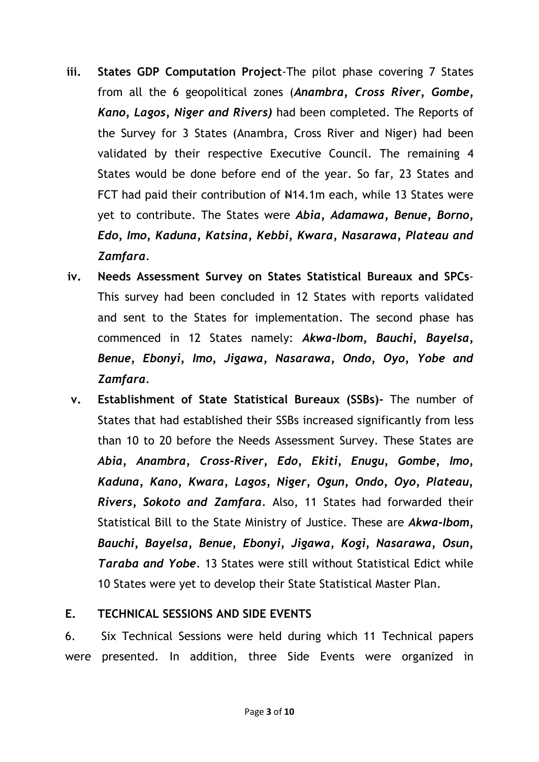- **iii. States GDP Computation Project**-The pilot phase covering 7 States from all the 6 geopolitical zones (*Anambra, Cross River, Gombe, Kano, Lagos, Niger and Rivers)* had been completed. The Reports of the Survey for 3 States (Anambra, Cross River and Niger) had been validated by their respective Executive Council. The remaining 4 States would be done before end of the year. So far, 23 States and FCT had paid their contribution of  $H14.1m$  each, while 13 States were yet to contribute. The States were *Abia, Adamawa, Benue, Borno, Edo, Imo, Kaduna, Katsina, Kebbi, Kwara, Nasarawa, Plateau and Zamfara.*
- **iv. Needs Assessment Survey on States Statistical Bureaux and SPCs**-This survey had been concluded in 12 States with reports validated and sent to the States for implementation. The second phase has commenced in 12 States namely: *Akwa-Ibom, Bauchi, Bayelsa, Benue, Ebonyi, Imo, Jigawa, Nasarawa, Ondo, Oyo, Yobe and Zamfara.*
- **v. Establishment of State Statistical Bureaux (SSBs)-** The number of States that had established their SSBs increased significantly from less than 10 to 20 before the Needs Assessment Survey. These States are *Abia, Anambra, Cross-River, Edo, Ekiti, Enugu, Gombe, Imo, Kaduna, Kano, Kwara, Lagos, Niger, Ogun, Ondo, Oyo, Plateau, Rivers, Sokoto and Zamfara.* Also, 11 States had forwarded their Statistical Bill to the State Ministry of Justice. These are *Akwa-Ibom, Bauchi, Bayelsa, Benue, Ebonyi, Jigawa, Kogi, Nasarawa, Osun, Taraba and Yobe.* 13 States were still without Statistical Edict while 10 States were yet to develop their State Statistical Master Plan.

#### **E. TECHNICAL SESSIONS AND SIDE EVENTS**

6. Six Technical Sessions were held during which 11 Technical papers were presented. In addition, three Side Events were organized in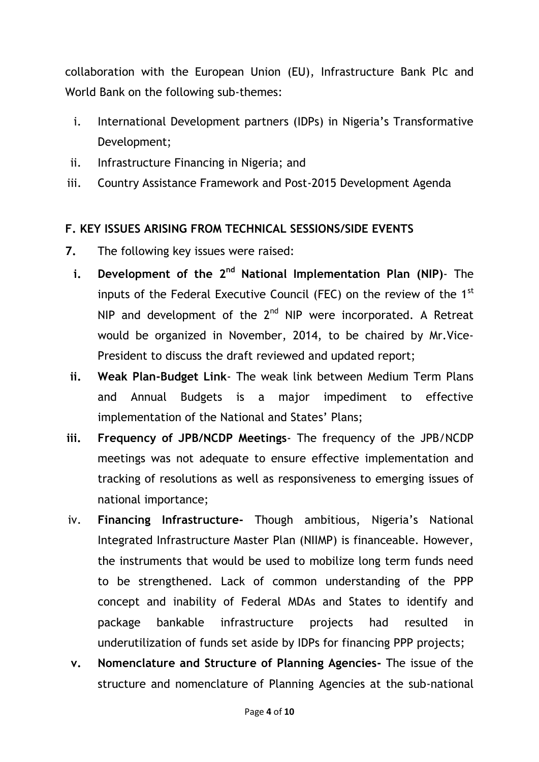collaboration with the European Union (EU), Infrastructure Bank Plc and World Bank on the following sub-themes:

- i. International Development partners (IDPs) in Nigeria's Transformative Development;
- ii. Infrastructure Financing in Nigeria; and
- iii. Country Assistance Framework and Post-2015 Development Agenda

## **F. KEY ISSUES ARISING FROM TECHNICAL SESSIONS/SIDE EVENTS**

- **7.** The following key issues were raised:
	- **i. Development of the 2nd National Implementation Plan (NIP)** The inputs of the Federal Executive Council (FEC) on the review of the 1<sup>st</sup> NIP and development of the  $2<sup>nd</sup>$  NIP were incorporated. A Retreat would be organized in November, 2014, to be chaired by Mr.Vice-President to discuss the draft reviewed and updated report;
- **ii. Weak Plan-Budget Link** The weak link between Medium Term Plans and Annual Budgets is a major impediment to effective implementation of the National and States' Plans;
- **iii. Frequency of JPB/NCDP Meetings** The frequency of the JPB/NCDP meetings was not adequate to ensure effective implementation and tracking of resolutions as well as responsiveness to emerging issues of national importance;
- iv. **Financing Infrastructure-** Though ambitious, Nigeria's National Integrated Infrastructure Master Plan (NIIMP) is financeable. However, the instruments that would be used to mobilize long term funds need to be strengthened. Lack of common understanding of the PPP concept and inability of Federal MDAs and States to identify and package bankable infrastructure projects had resulted in underutilization of funds set aside by IDPs for financing PPP projects;
- **v. Nomenclature and Structure of Planning Agencies-** The issue of the structure and nomenclature of Planning Agencies at the sub-national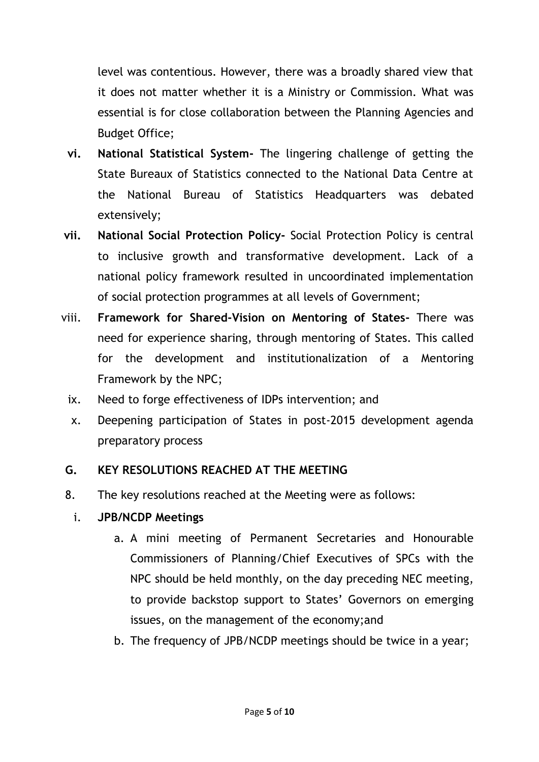level was contentious. However, there was a broadly shared view that it does not matter whether it is a Ministry or Commission. What was essential is for close collaboration between the Planning Agencies and Budget Office;

- **vi. National Statistical System-** The lingering challenge of getting the State Bureaux of Statistics connected to the National Data Centre at the National Bureau of Statistics Headquarters was debated extensively;
- **vii. National Social Protection Policy-** Social Protection Policy is central to inclusive growth and transformative development. Lack of a national policy framework resulted in uncoordinated implementation of social protection programmes at all levels of Government;
- viii. **Framework for Shared-Vision on Mentoring of States-** There was need for experience sharing, through mentoring of States. This called for the development and institutionalization of a Mentoring Framework by the NPC;
	- ix. Need to forge effectiveness of IDPs intervention; and
	- x. Deepening participation of States in post-2015 development agenda preparatory process

# **G. KEY RESOLUTIONS REACHED AT THE MEETING**

- 8. The key resolutions reached at the Meeting were as follows:
	- i. **JPB/NCDP Meetings**
		- a. A mini meeting of Permanent Secretaries and Honourable Commissioners of Planning/Chief Executives of SPCs with the NPC should be held monthly, on the day preceding NEC meeting, to provide backstop support to States' Governors on emerging issues, on the management of the economy;and
		- b. The frequency of JPB/NCDP meetings should be twice in a year;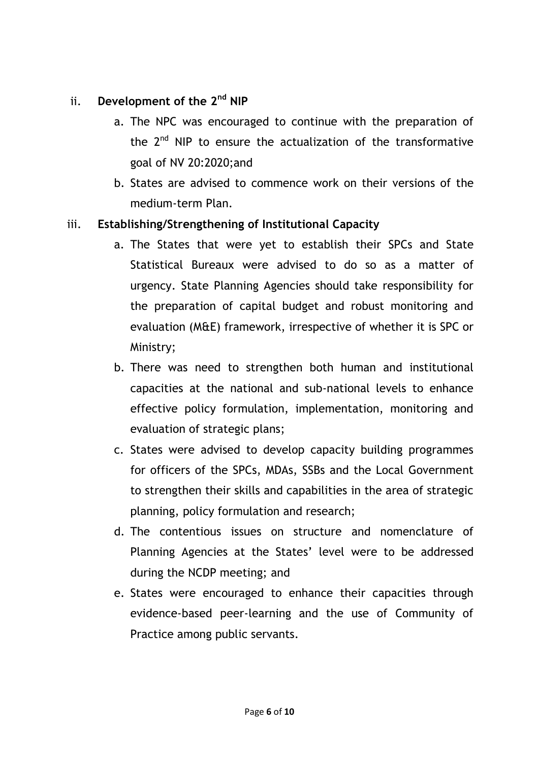## ii. **Development of the 2nd NIP**

- a. The NPC was encouraged to continue with the preparation of the  $2^{nd}$  NIP to ensure the actualization of the transformative goal of NV 20:2020;and
- b. States are advised to commence work on their versions of the medium-term Plan.

### iii. **Establishing/Strengthening of Institutional Capacity**

- a. The States that were yet to establish their SPCs and State Statistical Bureaux were advised to do so as a matter of urgency. State Planning Agencies should take responsibility for the preparation of capital budget and robust monitoring and evaluation (M&E) framework, irrespective of whether it is SPC or Ministry;
- b. There was need to strengthen both human and institutional capacities at the national and sub-national levels to enhance effective policy formulation, implementation, monitoring and evaluation of strategic plans;
- c. States were advised to develop capacity building programmes for officers of the SPCs, MDAs, SSBs and the Local Government to strengthen their skills and capabilities in the area of strategic planning, policy formulation and research;
- d. The contentious issues on structure and nomenclature of Planning Agencies at the States' level were to be addressed during the NCDP meeting; and
- e. States were encouraged to enhance their capacities through evidence-based peer-learning and the use of Community of Practice among public servants.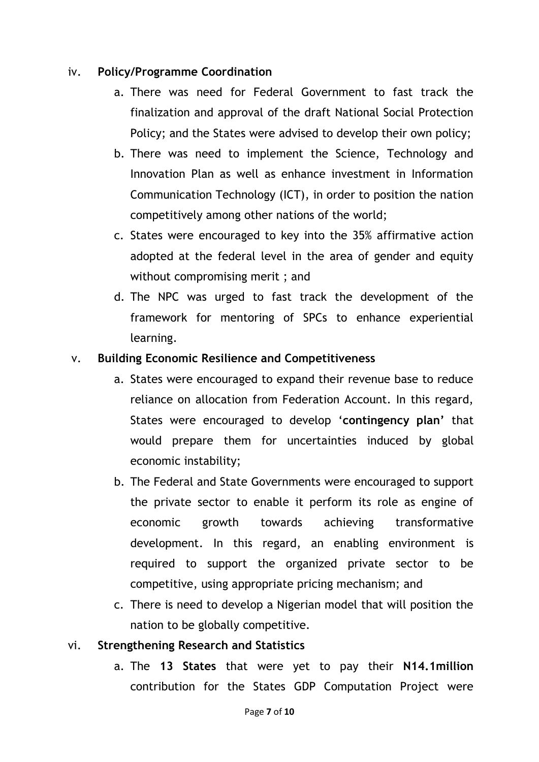#### iv. **Policy/Programme Coordination**

- a. There was need for Federal Government to fast track the finalization and approval of the draft National Social Protection Policy; and the States were advised to develop their own policy;
- b. There was need to implement the Science, Technology and Innovation Plan as well as enhance investment in Information Communication Technology (ICT), in order to position the nation competitively among other nations of the world;
- c. States were encouraged to key into the 35% affirmative action adopted at the federal level in the area of gender and equity without compromising merit ; and
- d. The NPC was urged to fast track the development of the framework for mentoring of SPCs to enhance experiential learning.

#### v. **Building Economic Resilience and Competitiveness**

- a. States were encouraged to expand their revenue base to reduce reliance on allocation from Federation Account. In this regard, States were encouraged to develop '**contingency plan'** that would prepare them for uncertainties induced by global economic instability;
- b. The Federal and State Governments were encouraged to support the private sector to enable it perform its role as engine of economic growth towards achieving transformative development. In this regard, an enabling environment is required to support the organized private sector to be competitive, using appropriate pricing mechanism; and
- c. There is need to develop a Nigerian model that will position the nation to be globally competitive.

### vi. **Strengthening Research and Statistics**

a. The **13 States** that were yet to pay their **N14.1million** contribution for the States GDP Computation Project were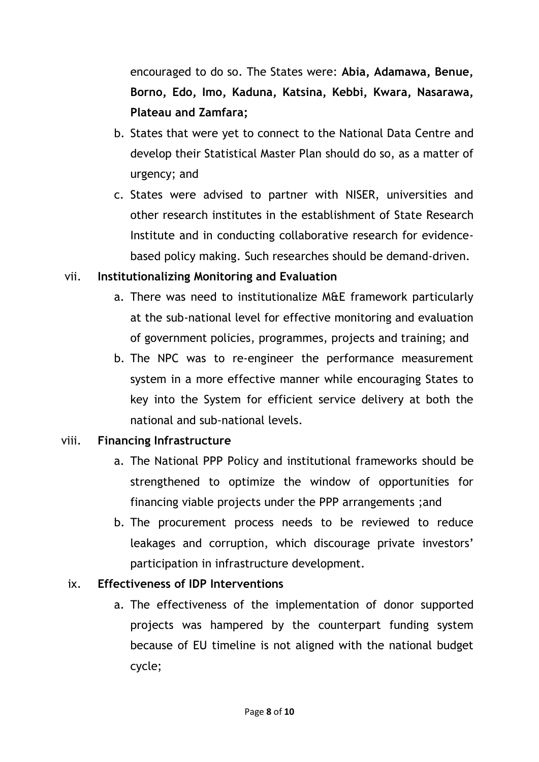encouraged to do so. The States were: **Abia, Adamawa, Benue, Borno, Edo, Imo, Kaduna, Katsina, Kebbi, Kwara, Nasarawa, Plateau and Zamfara;**

- b. States that were yet to connect to the National Data Centre and develop their Statistical Master Plan should do so, as a matter of urgency; and
- c. States were advised to partner with NISER, universities and other research institutes in the establishment of State Research Institute and in conducting collaborative research for evidencebased policy making. Such researches should be demand-driven.

## vii. **Institutionalizing Monitoring and Evaluation**

- a. There was need to institutionalize M&E framework particularly at the sub-national level for effective monitoring and evaluation of government policies, programmes, projects and training; and
- b. The NPC was to re-engineer the performance measurement system in a more effective manner while encouraging States to key into the System for efficient service delivery at both the national and sub-national levels.

## viii. **Financing Infrastructure**

- a. The National PPP Policy and institutional frameworks should be strengthened to optimize the window of opportunities for financing viable projects under the PPP arrangements ;and
- b. The procurement process needs to be reviewed to reduce leakages and corruption, which discourage private investors' participation in infrastructure development.

# ix. **Effectiveness of IDP Interventions**

a. The effectiveness of the implementation of donor supported projects was hampered by the counterpart funding system because of EU timeline is not aligned with the national budget cycle;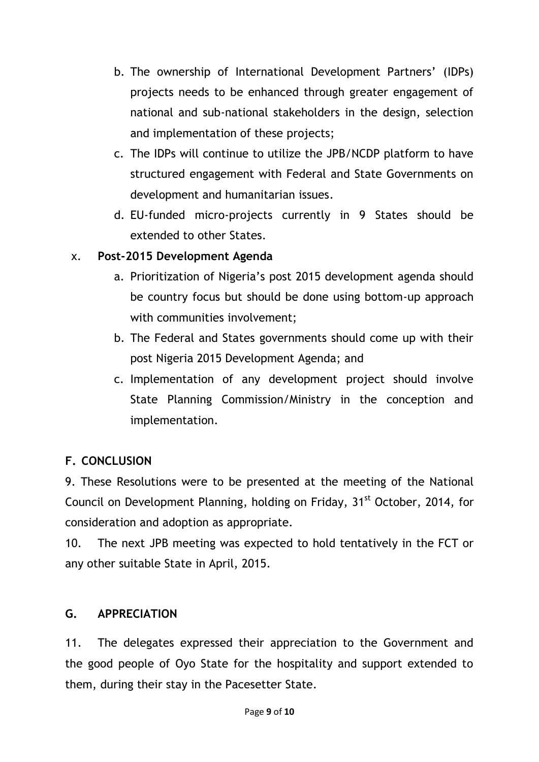- b. The ownership of International Development Partners' (IDPs) projects needs to be enhanced through greater engagement of national and sub-national stakeholders in the design, selection and implementation of these projects;
- c. The IDPs will continue to utilize the JPB/NCDP platform to have structured engagement with Federal and State Governments on development and humanitarian issues.
- d. EU-funded micro-projects currently in 9 States should be extended to other States.

## x. **Post-2015 Development Agenda**

- a. Prioritization of Nigeria's post 2015 development agenda should be country focus but should be done using bottom-up approach with communities involvement;
- b. The Federal and States governments should come up with their post Nigeria 2015 Development Agenda; and
- c. Implementation of any development project should involve State Planning Commission/Ministry in the conception and implementation.

# **F. CONCLUSION**

9. These Resolutions were to be presented at the meeting of the National Council on Development Planning, holding on Friday, 31<sup>st</sup> October, 2014, for consideration and adoption as appropriate.

10. The next JPB meeting was expected to hold tentatively in the FCT or any other suitable State in April, 2015.

## **G. APPRECIATION**

11. The delegates expressed their appreciation to the Government and the good people of Oyo State for the hospitality and support extended to them, during their stay in the Pacesetter State.